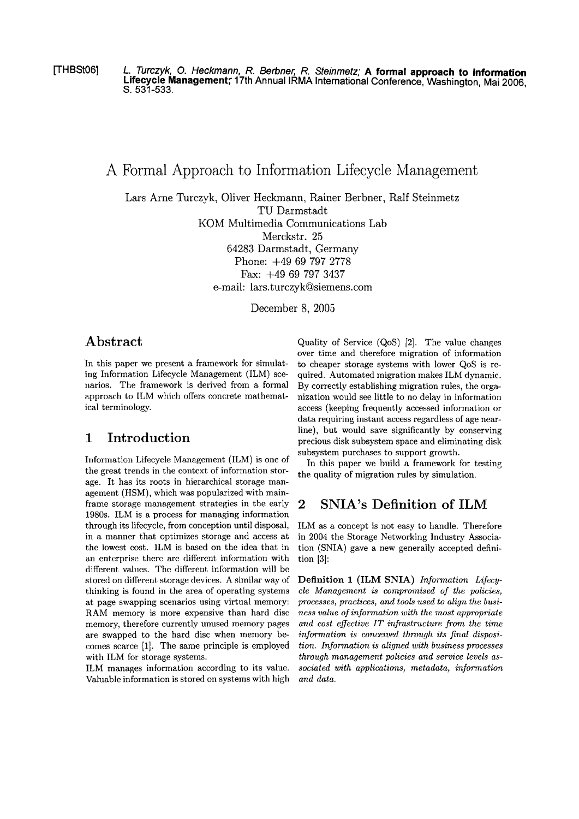[THBStOG] **L. Turczyk, 0. Heckmann, R. Berbner, R. Steinmetz; A formal approach to Information Lifecycle Management;** 17th Annual IRMA International Conference, Washington, Mai 2006, S. **531-533.** 

A Formal Approach to Information Lifecycle Management

Lars Arne Turczyk, Oliver Heckmann, Rainer Berbner, Ralf Steinmetz TU Darmstadt KOM Multimedia Communications Lab

Merckstr. 25

64283 Darmstadt, Germany Phone: +49 69 797 2778 Fax: +49 69 797 3437

e-mail: lars.turczyk@siemens.com

December 8, 2005

## **Abstract**

In this paper we present a framework for simulating Information Lifecycle Management (ILM) scenarios. The framework is derived from a formal approach to ILM which offers concrete mathematical terminology.

# **1 Introduction**

Information Lifecycle Management (ILM) is one of the great trends in the context of information storage. It has its roots in hierarchical storage management (HSM), which was popularized with mainframe storage management strategies in the early 1980s. ILM is a process for managing information through its lifecycle, from conception until disposal, in a manner that optimizes storage and access at the lowest cost. ILM is based on the idea that in an entcrprise therc arc differcnt iriformation with different values. The different information will be stored on different storage devices. A similar way of thinking is found in the area of operating systems at page swapping scenarios using virtual memory: RAM memory is more expensive than hard disc memory, therefore currently unused memory pages are swapped to the hard disc when memory becomes scarce [1]. The same principle is employed with ILM for storage systerns.

ILM manages information according to its value. Valuable information is stored on systems with high Quality of Service (QoS) [2]. The value changes over time and therefore migration of information to cheaper storage systems with lower QoS is required. Automated migration makes ILM dynamic. By correctly establishing migration rules, the organization would See little to no delay in inforrnation access (keeping frequently accessed information or data requiring instant access regardless of age nearline), but would save significantly by conserving precious disk subsystem space and eliminating disk subsystem purchases to support growth.

In this paper we build a framework for testing the quality of migration rules by simulation.

## **2 SNIA7s Definition of ILM**

ILM as a concept is not easy to handle. Therefore in 2004 the Storage Networking Industry Association (SNIA) gave a new generally accepted definition **[3]:** 

**Definition 1 (ILM SNIA)** *Information Lifecycle Management is compromised of the policies, processes, practices, and tools used to align the business value of information with the most appropriate and cost eflectiue IT injrastructure from the time*  information is conceived through its final disposi*tion. Information is aligned with business processes through management policies and seruice Levels associated with applications, metadata, information und data.*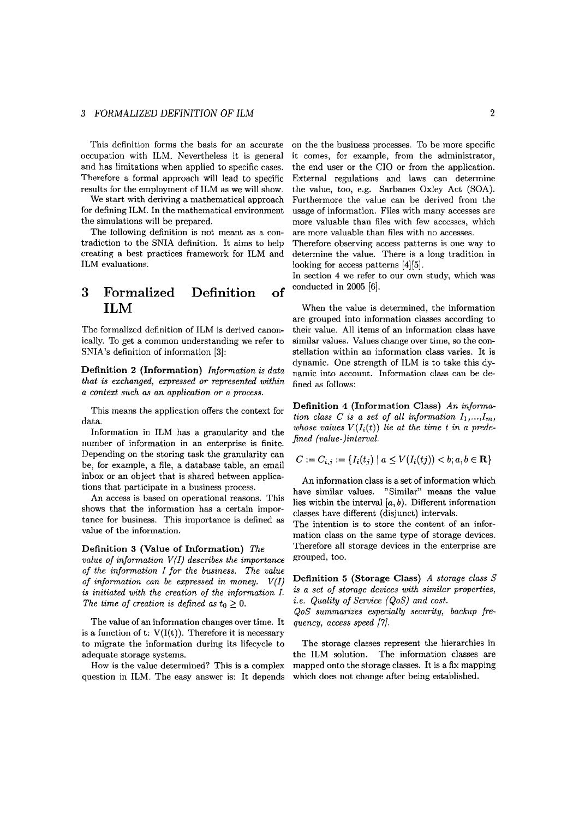### **3** FORMALIZED DEFINITION OF ILM **2**

occupation with ILM. Nevertheless it is general and has limitations when applied to specific cases. Therefore a formal approach will lead to specific results for the employment of ILM as we will show.

We start with deriving a mathematical approach for defining ILM. In the mathematical environment the simulations will be prepared.

The following definition is not meant as a contradiction to the SNIA definition. It aims to help creating a best practices framework for ILM and ILM evaluations.

# **3 Formalized Definition of ILM**

The formalized definition of ILM is derived canonically. To get a comrnon understanding we refer to SNIA's definition of information *[3]:* 

**Definition 2 (Information)** *Information is data that is exchanged, expressed or represented within a conted such* **as** *an application or a process.* 

This means the application offers the context for data.

Information in ILM has a granularity and the number of information in an enterprise is finite. Depending on the storing task the granularity can be, for example, a file, a database table, an email inbox or an object that is shared between applications that participate in a business process.

An access is based on operational reasons. This shows that the information has a certain importance for business. This importance is defined as value of the information.

#### **Definition 3 (Value of Information)** *The*

*value of information* V(I) *describes the importance of the information I for the business. The value of information can be expressed in money.* V(I) *is initiated with the creation of the inforrnation I.*  The time of creation is defined as  $t_0 \geq 0$ .

The value of an information changes over time. It is a function of t:  $V(I(t))$ . Therefore it is necessary to migrate the information during its lifecycle to adequate storage systems.

How is the value determined? This is a complex question in ILM. The easy answer is: It depends

This definition forms the basis for an accurate on the the business processes. To be more specific it Comes, for example, from the administrator, the end user or the CIO or from the application. External regulations and laws can determine the value, too, **e.g.** Sarbanes Oxley Act (SOA). Furthermore the value can be derived from the usage of information. Files with many accesses are more valuable than files with few accesses, which are more valuable than files with no accesses.

> Therefore observing access patterns is one way to determine the value. There is **a** long tradition in looking for access patterns [4] [5].

> In section 4 we refer to our own study, which was conducted in 2005 *[6].*

> When the value is determined, the information are grouped into information classes according to their value. All items of an information class have similar values. Values change over time, so the constellation within an information class varies. It is dynamic. One strength of ILM is to take this dynamic into accourit. Information class can be defined as follows:

> **Definition 4 (Information Class)** *An information class C is a set of all information*  $I_1, \ldots, I_m$ , whose values  $V(I_i(t))$  lie at the time t in a prede*fined (value-)interval.*

$$
C := C_{i,j} := \{ I_i(t_j) \mid a \le V(I_i(tj)) < b; a, b \in \mathbf{R} \}
$$

An information class is a set of information which have similar values. "Similar" means the value lies within the interval  $[a, b)$ . Different information classes have different (disjunct) intervals.

The intention is to store the content of an information class on the Same type of storage devices. Therefore all storage devices in the enterprise are grouped, too.

**Definition 5 (Storage Class) A** *storage class S is a set of storage devices with similar properties, i.e. Quality of Service (QoS) and cost.* 

*QoS summarizes especially security, backup frequency, access speed* [Y].

The storage classes represent the hierarchies in the ILM solution. The information classes are mapped onto the storage classes. It is a **fix** mapping which does not change after being established.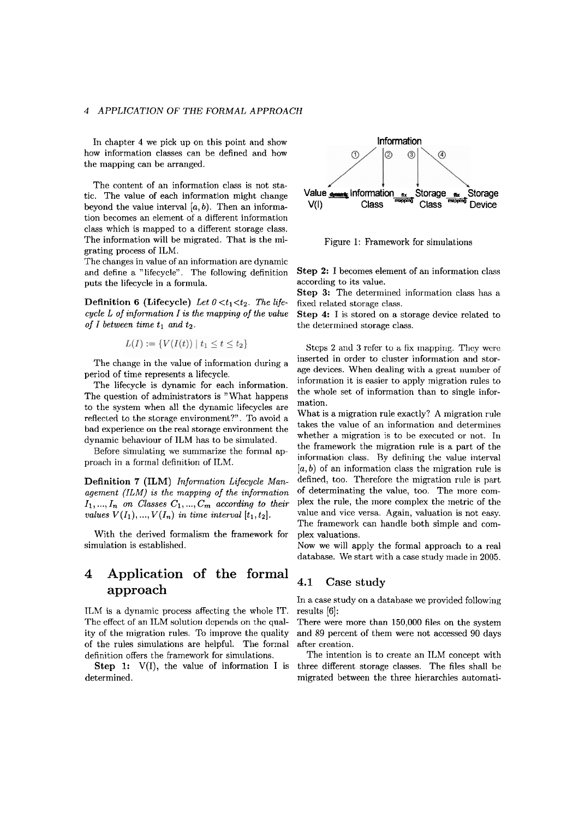### **4** *APPLICATION OF THE FORMAL APPROACH*

In chapter **4** we pick up on this point and show how information classes can be defined and how the mapping can be arranged.

The content of an information class is not static. The value of each information might change beyond the value interval  $[a, b)$ . Then an information becomes an element of a different information class which is mapped to a different storage class. The information will be migrated. That is the migrating process of ILM.

The changes in value of an information are dynamic and define a "lifecycle". The following definition puts the lifecycle in a formula.

**Definition 6 (Lifecycle)** Let  $0 < t_1 < t_2$ . The life*cycle L of information I is the mapping of the value of I between time*  $t_1$  *and*  $t_2$ *.* 

$$
L(I) := \{ V(I(t)) \mid t_1 \le t \le t_2 \}
$$

The change in the value of information during a period of time represents a lifecycle.

The lifecycle is dynamic for each information. The question of administrators is "What happens" to the system when all the dynamic lifecycles are reflected to the storage environment?". To avoid a bad experience on the real storage environment the dynamic behaviour of ILM has to be simulated.

Before sirnulating we sunimarize the formal approach in a formal definition of ILM.

Definition 7 (ILM) Information Lifecycle Man*agement (ILM) is the mapping of the information*   $I_1, ..., I_n$  on Classes  $C_1, ..., C_m$  according to their *values*  $V(I_1), ..., V(I_n)$  *in time interval*  $[t_1, t_2]$ *.* 

With the derived formalism the framework for simulation is established.

# **4 Application of the formal approach**

ILM is a dynamic process affecting the whole IT. The effect of an ILM solution depends on the quality of the migration rules. To improve the quality of the rules simulations are helpful. The formal definition offers the framework for simulations.

**Step 1:**  $V(I)$ , the value of information I is determined.



Figure 1: Framework for simulations

**Step 2:** I becomes element of an information class according to its value.

**Step 3:** The determined information class has a fixed related storage class.

**Step** 4: I is stored on a storage device related to the determined storage class.

Steps 2 and 3 refer to a fix mapping. They were inserted in order to cluster information and storage devices. When dealing with a great number of information it is easier to apply migration rules to the whole set of information than to single information.

What is a migration rule exactly? A migration rule takes the value of an inforrnation and determines whether a migration is to be executed or not. In the framework the migration rule is a part of the information class. By defining the value interval *[a, b)* of an information class the migration rule is defined, too. Therefore the migration rule is part of determinating the value, too. The more complex the rule, the more complex the rnetric of the value and vice versa. Again, valuation is not easy. The framework can handle both simple and complex valuations.

Now we will apply the formal approach to a real database. We start with a case study made in 2005.

#### **4.1 Case study**

In a case study on a database we provided following results [6]:

There were more than 150,000 files on the system and 89 percent of them were not accessed 90 days after creation.

The intention is to create an ILM concept with three different storage classes. The files shall be migrated between the three hierarchies automati-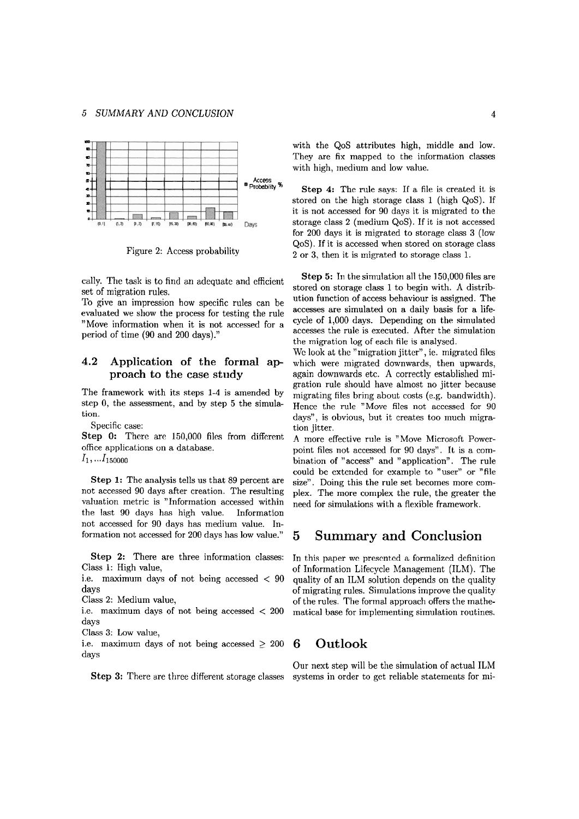

Figure 2: Access probability

evaluated we show the process for testing the rule accesses are simulated on a daily basis for a life-<br>"Move information when it is not accessed for a cycle of 1,000 days. Depending on the simulated "Move information when it is not accessed for a period of time (90 and 200 days)." accesses the rule is executed. After the simulation period of time (90 and 200 days)."

### **4.2 Application of the formal approach to the case study**

The framework with its steps 1-4 is amended by step 0, the assessment, and by step 5 the simulation.

Specific case:

Step 0: There are 150,000 files from different office applications on a database.  $I_1, \ldots I_{150000}$ 

Step 1: The analysis tells us that 89 percent are not accessed 90 days after creation. The resulting valuation metric is "Information accessed within the last 90 days has high value. Information not accessed for 90 days has medium value. Information not accessed for 200 days has low value."

**Step 2:** There are three information classes: In this paper we presented a formalized definition Class 1: High value, of Information Lifecycle Management (ILM). The

days

Class **3:** Low value,

i.e. maximum days of not being accessed  $\geq 200$  **6** Outlook days

with the QoS attributes high, middle and low. They are fix mapped to the information classes with high, medium and low value.

Step 4: The rule says: If a file is created it is stored on the high storage class 1 (high QoS). If it is not accessed for 90 days it is migrated to the storage class 2 (medium QoS). If it is not accessed for 200 days it is migrated to storage class **3** (low QoS). If it is accessed when stored on storage class 2 or **3,** then it is migrated to storage class 1.

cally. The task is to find an adequate and efficient Step 5: In the simulation all the 150,000 files are stored on storage class 1 to begin with. A distributed on storage class 1 to begin with. A distributed on the store of migration rules. The store of migration of access behaviour is assigned. The To give an impression how specific rules can be ution function of access behaviour is assigned. The the migration log of each file is analysed.

Wc look at the "migration jitter", ie. migrated files which were migrated downwards, then upwards, again downwards etc. **A** correctly established migration rule should have almost no jitter because migrating files bring about costs (e.g. bandwidth). Hence the rule "Move files not acccssed for 90 days", is obvious, but it creates too much migration jitter.

A more effective rule is "Move Microsoft Powerpoint files not accessed for 90 days". It is a combination of "access" and "application". The rule could be exterided for example to "user" or "file size". Doing this the rule set becomes more complex. The more cornplex the rule, the greater the need for simulations with a flexible framework.

## 5 Summary and Conclusion

Class 1: High value,<br>i.e. maximum days of not being accessed  $\langle 90 \rangle$  quality of an ILM solution depends on the quality quality of an ILM solution depends on the quality days days of migrating rules. Simulations improve the quality<br>Class 2: Medium value, the state of the rules. The formal approach offers the mathe-Class 2: Medium value,<br>i.e. maximum days of not being accessed  $\langle$  200 matical base for implementing simulation routines. matical base for implementing simulation routines.

Our next step will be the simulation of actual ILM Step 3: There are three different storage classes systems in order to get reliable statements for mi-